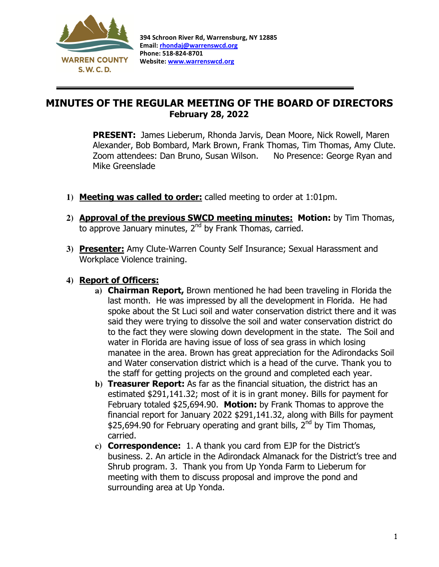

 $\overline{a}$ 

## MINUTES OF THE REGULAR MEETING OF THE BOARD OF DIRECTORS February 28, 2022

PRESENT: James Lieberum, Rhonda Jarvis, Dean Moore, Nick Rowell, Maren Alexander, Bob Bombard, Mark Brown, Frank Thomas, Tim Thomas, Amy Clute. Zoom attendees: Dan Bruno, Susan Wilson. No Presence: George Ryan and Mike Greenslade

- **1)** Meeting was called to order: called meeting to order at 1:01pm.
- **2)** Approval of the previous SWCD meeting minutes: Motion: by Tim Thomas, to approve January minutes, 2<sup>nd</sup> by Frank Thomas, carried.
- **3)** Presenter: Amy Clute-Warren County Self Insurance; Sexual Harassment and Workplace Violence training.

## **4)** Report of Officers:

- **a)** Chairman Report, Brown mentioned he had been traveling in Florida the last month. He was impressed by all the development in Florida. He had spoke about the St Luci soil and water conservation district there and it was said they were trying to dissolve the soil and water conservation district do to the fact they were slowing down development in the state. The Soil and water in Florida are having issue of loss of sea grass in which losing manatee in the area. Brown has great appreciation for the Adirondacks Soil and Water conservation district which is a head of the curve. Thank you to the staff for getting projects on the ground and completed each year.
- **b)** Treasurer Report: As far as the financial situation, the district has an estimated \$291,141.32; most of it is in grant money. Bills for payment for February totaled \$25,694.90. Motion: by Frank Thomas to approve the financial report for January 2022 \$291,141.32, along with Bills for payment \$25,694.90 for February operating and grant bills, 2<sup>nd</sup> by Tim Thomas, carried.
- **c)** Correspondence: 1. A thank you card from EJP for the District's business. 2. An article in the Adirondack Almanack for the District's tree and Shrub program. 3. Thank you from Up Yonda Farm to Lieberum for meeting with them to discuss proposal and improve the pond and surrounding area at Up Yonda.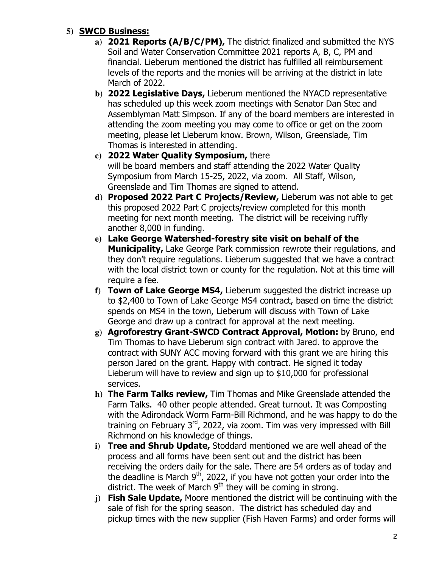## **5)** SWCD Business:

- **a)** 2021 Reports (A/B/C/PM), The district finalized and submitted the NYS Soil and Water Conservation Committee 2021 reports A, B, C, PM and financial. Lieberum mentioned the district has fulfilled all reimbursement levels of the reports and the monies will be arriving at the district in late March of 2022.
- **b)** 2022 Legislative Days, Lieberum mentioned the NYACD representative has scheduled up this week zoom meetings with Senator Dan Stec and Assemblyman Matt Simpson. If any of the board members are interested in attending the zoom meeting you may come to office or get on the zoom meeting, please let Lieberum know. Brown, Wilson, Greenslade, Tim Thomas is interested in attending.
- **c)** 2022 Water Quality Symposium, there will be board members and staff attending the 2022 Water Quality Symposium from March 15-25, 2022, via zoom. All Staff, Wilson, Greenslade and Tim Thomas are signed to attend.
- **d)** Proposed 2022 Part C Projects/Review, Lieberum was not able to get this proposed 2022 Part C projects/review completed for this month meeting for next month meeting. The district will be receiving ruffly another 8,000 in funding.
- **e)** Lake George Watershed-forestry site visit on behalf of the **Municipality, Lake George Park commission rewrote their regulations, and** they don't require regulations. Lieberum suggested that we have a contract with the local district town or county for the regulation. Not at this time will require a fee.
- **f)** Town of Lake George MS4, Lieberum suggested the district increase up to \$2,400 to Town of Lake George MS4 contract, based on time the district spends on MS4 in the town, Lieberum will discuss with Town of Lake George and draw up a contract for approval at the next meeting.
- **g)** Agroforestry Grant-SWCD Contract Approval, Motion: by Bruno, end Tim Thomas to have Lieberum sign contract with Jared. to approve the contract with SUNY ACC moving forward with this grant we are hiring this person Jared on the grant. Happy with contract. He signed it today Lieberum will have to review and sign up to \$10,000 for professional services.
- **h)** The Farm Talks review, Tim Thomas and Mike Greenslade attended the Farm Talks. 40 other people attended. Great turnout. It was Composting with the Adirondack Worm Farm-Bill Richmond, and he was happy to do the training on February 3<sup>rd</sup>, 2022, via zoom. Tim was very impressed with Bill Richmond on his knowledge of things.
- **i)** Tree and Shrub Update, Stoddard mentioned we are well ahead of the process and all forms have been sent out and the district has been receiving the orders daily for the sale. There are 54 orders as of today and the deadline is March  $9<sup>th</sup>$ , 2022, if you have not gotten your order into the district. The week of March  $9<sup>th</sup>$  they will be coming in strong.
- **j)** Fish Sale Update, Moore mentioned the district will be continuing with the sale of fish for the spring season. The district has scheduled day and pickup times with the new supplier (Fish Haven Farms) and order forms will